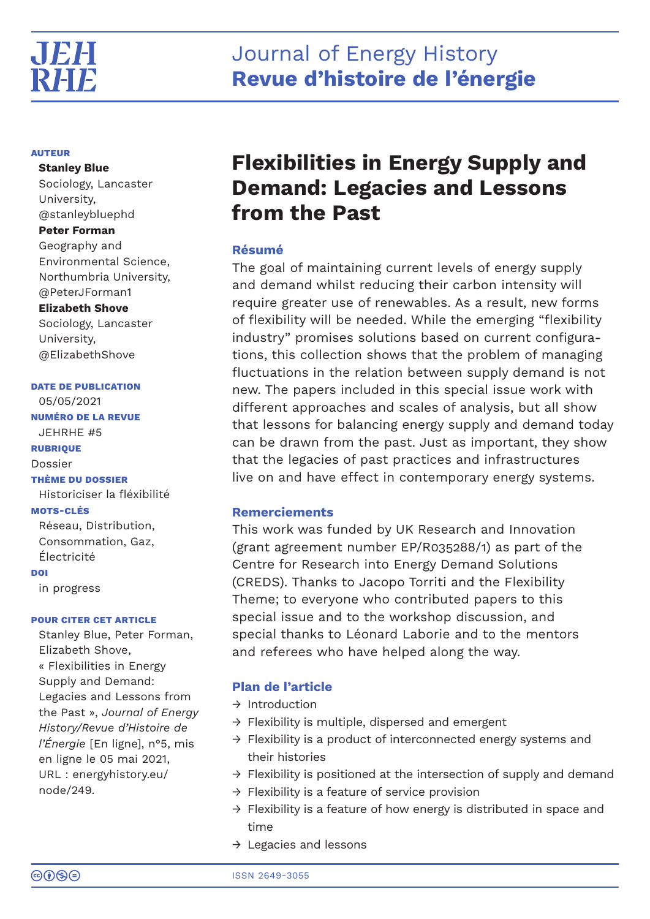#### **AUTEUR**

**Stanley Blue**  Sociology, Lancaster University, @stanleybluephd **Peter Forman**  Geography and Environmental Science, Northumbria University, @PeterJForman1 **Elizabeth Shove** Sociology, Lancaster

University, @ElizabethShove

**DATE DE PUBLICATION** 05/05/2021 **NUMÉRO DE LA REVUE** JEHRHE #5

**RUBRIQUE** Dossier **THÈME DU DOSSIER** Historiciser la fléxibilité **MOTS-CLÉS** Réseau, Distribution, Consommation, Gaz,

Électricité **DOI**

in progress

### **POUR CITER CET ARTICLE**

Stanley Blue, Peter Forman, Elizabeth Shove, « Flexibilities in Energy Supply and Demand: Legacies and Lessons from the Past », *Journal of Energy History/Revue d'Histoire de l'Énergie* [En ligne], n°5, mis en ligne le 05 mai 2021, URL : energyhistory.eu/ node/249.

# **Flexibilities in Energy Supply and Demand: Legacies and Lessons from the Past**

# **Résumé**

The goal of maintaining current levels of energy supply and demand whilst reducing their carbon intensity will require greater use of renewables. As a result, new forms of flexibility will be needed. While the emerging "flexibility industry" promises solutions based on current configurations, this collection shows that the problem of managing fluctuations in the relation between supply demand is not new. The papers included in this special issue work with different approaches and scales of analysis, but all show that lessons for balancing energy supply and demand today can be drawn from the past. Just as important, they show that the legacies of past practices and infrastructures live on and have effect in contemporary energy systems.

# **Remerciements**

This work was funded by UK Research and Innovation (grant agreement number EP/R035288/1) as part of the Centre for Research into Energy Demand Solutions (CREDS). Thanks to Jacopo Torriti and the Flexibility Theme; to everyone who contributed papers to this special issue and to the workshop discussion, and special thanks to Léonard Laborie and to the mentors and referees who have helped along the way.

# **Plan de l'article**

- → Introduction
- $\rightarrow$  Flexibility is multiple, dispersed and emergent
- → Flexibility is a product of interconnected energy systems and their histories
- → Flexibility is positioned at the intersection of supply and demand
- $\rightarrow$  Flexibility is a feature of service provision
- $\rightarrow$  Flexibility is a feature of how energy is distributed in space and time
- $\rightarrow$  Legacies and lessons

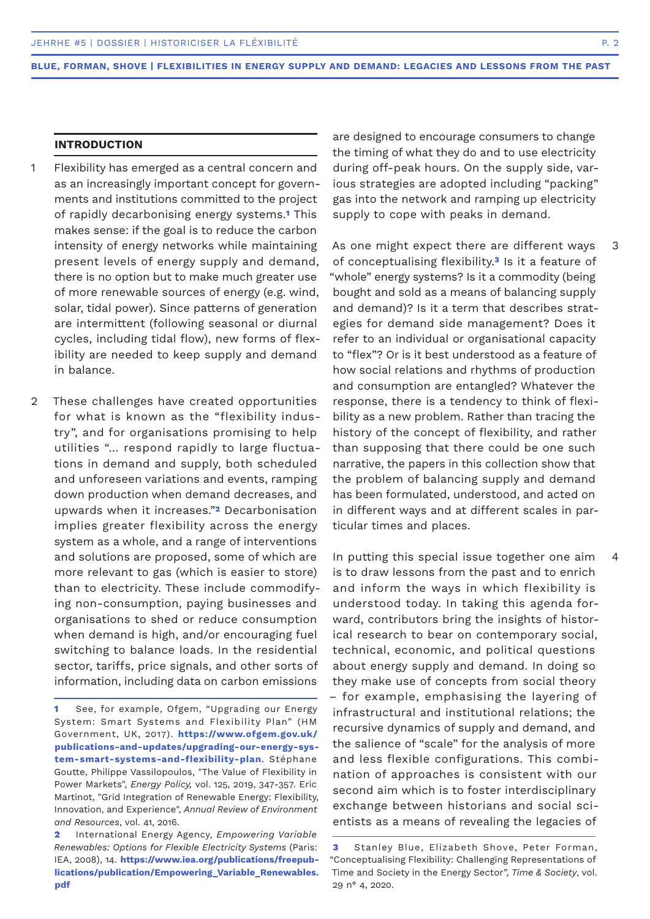#### **INTRODUCTION**

- Flexibility has emerged as a central concern and as an increasingly important concept for governments and institutions committed to the project of rapidly decarbonising energy systems.**1** This makes sense: if the goal is to reduce the carbon intensity of energy networks while maintaining present levels of energy supply and demand, there is no option but to make much greater use of more renewable sources of energy (e.g. wind, solar, tidal power). Since patterns of generation are intermittent (following seasonal or diurnal cycles, including tidal flow), new forms of flexibility are needed to keep supply and demand in balance. 1
- These challenges have created opportunities for what is known as the "flexibility industry", and for organisations promising to help utilities "… respond rapidly to large fluctuations in demand and supply, both scheduled and unforeseen variations and events, ramping down production when demand decreases, and upwards when it increases."**2** Decarbonisation implies greater flexibility across the energy system as a whole, and a range of interventions and solutions are proposed, some of which are more relevant to gas (which is easier to store) than to electricity. These include commodifying non-consumption, paying businesses and organisations to shed or reduce consumption when demand is high, and/or encouraging fuel switching to balance loads. In the residential sector, tariffs, price signals, and other sorts of information, including data on carbon emissions  $\mathfrak{D}$

are designed to encourage consumers to change the timing of what they do and to use electricity during off-peak hours. On the supply side, various strategies are adopted including "packing" gas into the network and ramping up electricity supply to cope with peaks in demand.

As one might expect there are different ways of conceptualising flexibility.**3** Is it a feature of "whole" energy systems? Is it a commodity (being bought and sold as a means of balancing supply and demand)? Is it a term that describes strategies for demand side management? Does it refer to an individual or organisational capacity to "flex"? Or is it best understood as a feature of how social relations and rhythms of production and consumption are entangled? Whatever the response, there is a tendency to think of flexibility as a new problem. Rather than tracing the history of the concept of flexibility, and rather than supposing that there could be one such narrative, the papers in this collection show that the problem of balancing supply and demand has been formulated, understood, and acted on in different ways and at different scales in particular times and places. 3

In putting this special issue together one aim is to draw lessons from the past and to enrich and inform the ways in which flexibility is understood today. In taking this agenda forward, contributors bring the insights of historical research to bear on contemporary social, technical, economic, and political questions about energy supply and demand. In doing so they make use of concepts from social theory – for example, emphasising the layering of infrastructural and institutional relations; the recursive dynamics of supply and demand, and the salience of "scale" for the analysis of more and less flexible configurations. This combination of approaches is consistent with our second aim which is to foster interdisciplinary exchange between historians and social scientists as a means of revealing the legacies of

4

**<sup>1</sup>** See, for example, Ofgem, "Upgrading our Energy System: Smart Systems and Flexibility Plan" (HM Government, UK, 2017). **https://www.ofgem.gov.uk/ publications-and-updates/upgrading-our-energy-system-smart-systems-and-flexibility-plan**. Stéphane Goutte, Philippe Vassilopoulos, "The Value of Flexibility in Power Markets", *Energy Policy,* vol. 125, 2019, 347-357. Eric Martinot, "Grid Integration of Renewable Energy: Flexibility, Innovation, and Experience", *Annual Review of Environment and Resources*, vol. 41, 2016.

**<sup>2</sup>** International Energy Agency, *Empowering Variable Renewables: Options for Flexible Electricity Systems* (Paris: IEA, 2008), 14. **https://www.iea.org/publications/freepublications/publication/Empowering\_Variable\_Renewables. pdf** 

**<sup>3</sup>** Stanley Blue, Elizabeth Shove, Peter Forman, "Conceptualising Flexibility: Challenging Representations of Time and Society in the Energy Sector", *Time & Society*, vol. 29 n° 4, 2020.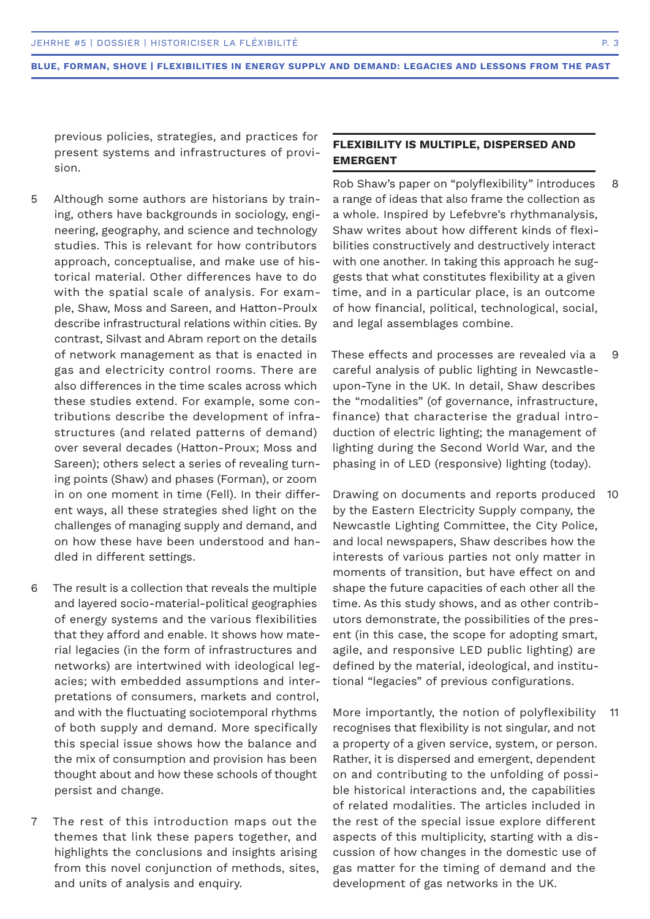previous policies, strategies, and practices for present systems and infrastructures of provision.

- Although some authors are historians by training, others have backgrounds in sociology, engineering, geography, and science and technology studies. This is relevant for how contributors approach, conceptualise, and make use of historical material. Other differences have to do with the spatial scale of analysis. For example, Shaw, Moss and Sareen, and Hatton-Proulx describe infrastructural relations within cities. By contrast, Silvast and Abram report on the details of network management as that is enacted in gas and electricity control rooms. There are also differences in the time scales across which these studies extend. For example, some contributions describe the development of infrastructures (and related patterns of demand) over several decades (Hatton-Proux; Moss and Sareen); others select a series of revealing turning points (Shaw) and phases (Forman), or zoom in on one moment in time (Fell). In their different ways, all these strategies shed light on the challenges of managing supply and demand, and on how these have been understood and handled in different settings. 5
- The result is a collection that reveals the multiple and layered socio-material-political geographies of energy systems and the various flexibilities that they afford and enable. It shows how material legacies (in the form of infrastructures and networks) are intertwined with ideological legacies; with embedded assumptions and interpretations of consumers, markets and control, and with the fluctuating sociotemporal rhythms of both supply and demand. More specifically this special issue shows how the balance and the mix of consumption and provision has been thought about and how these schools of thought persist and change. 6
- The rest of this introduction maps out the themes that link these papers together, and highlights the conclusions and insights arising from this novel conjunction of methods, sites, and units of analysis and enquiry. 7

# **FLEXIBILITY IS MULTIPLE, DISPERSED AND EMERGENT**

Rob Shaw's paper on "polyflexibility" introduces a range of ideas that also frame the collection as a whole. Inspired by Lefebvre's rhythmanalysis, Shaw writes about how different kinds of flexibilities constructively and destructively interact with one another. In taking this approach he suggests that what constitutes flexibility at a given time, and in a particular place, is an outcome of how financial, political, technological, social, and legal assemblages combine. 8

These effects and processes are revealed via a careful analysis of public lighting in Newcastleupon-Tyne in the UK. In detail, Shaw describes the "modalities" (of governance, infrastructure, finance) that characterise the gradual introduction of electric lighting; the management of lighting during the Second World War, and the phasing in of LED (responsive) lighting (today). 9

Drawing on documents and reports produced 10 by the Eastern Electricity Supply company, the Newcastle Lighting Committee, the City Police, and local newspapers, Shaw describes how the interests of various parties not only matter in moments of transition, but have effect on and shape the future capacities of each other all the time. As this study shows, and as other contributors demonstrate, the possibilities of the present (in this case, the scope for adopting smart, agile, and responsive LED public lighting) are defined by the material, ideological, and institutional "legacies" of previous configurations.

More importantly, the notion of polyflexibility recognises that flexibility is not singular, and not a property of a given service, system, or person. Rather, it is dispersed and emergent, dependent on and contributing to the unfolding of possible historical interactions and, the capabilities of related modalities. The articles included in the rest of the special issue explore different aspects of this multiplicity, starting with a discussion of how changes in the domestic use of gas matter for the timing of demand and the development of gas networks in the UK. 11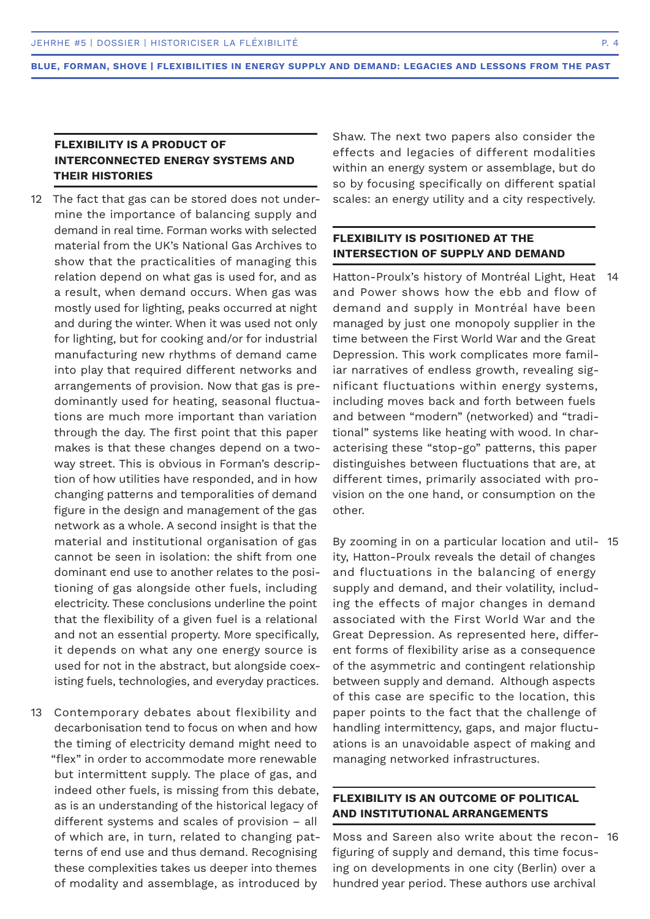# **FLEXIBILITY IS A PRODUCT OF INTERCONNECTED ENERGY SYSTEMS AND THEIR HISTORIES**

- 12 The fact that gas can be stored does not undermine the importance of balancing supply and demand in real time. Forman works with selected material from the UK's National Gas Archives to show that the practicalities of managing this relation depend on what gas is used for, and as a result, when demand occurs. When gas was mostly used for lighting, peaks occurred at night and during the winter. When it was used not only for lighting, but for cooking and/or for industrial manufacturing new rhythms of demand came into play that required different networks and arrangements of provision. Now that gas is predominantly used for heating, seasonal fluctuations are much more important than variation through the day. The first point that this paper makes is that these changes depend on a twoway street. This is obvious in Forman's description of how utilities have responded, and in how changing patterns and temporalities of demand figure in the design and management of the gas network as a whole. A second insight is that the material and institutional organisation of gas cannot be seen in isolation: the shift from one dominant end use to another relates to the positioning of gas alongside other fuels, including electricity. These conclusions underline the point that the flexibility of a given fuel is a relational and not an essential property. More specifically, it depends on what any one energy source is used for not in the abstract, but alongside coexisting fuels, technologies, and everyday practices.
- Contemporary debates about flexibility and 13 decarbonisation tend to focus on when and how the timing of electricity demand might need to "flex" in order to accommodate more renewable but intermittent supply. The place of gas, and indeed other fuels, is missing from this debate, as is an understanding of the historical legacy of different systems and scales of provision – all of which are, in turn, related to changing patterns of end use and thus demand. Recognising these complexities takes us deeper into themes of modality and assemblage, as introduced by

Shaw. The next two papers also consider the effects and legacies of different modalities within an energy system or assemblage, but do so by focusing specifically on different spatial scales: an energy utility and a city respectively.

### **FLEXIBILITY IS POSITIONED AT THE INTERSECTION OF SUPPLY AND DEMAND**

Hatton-Proulx's history of Montréal Light, Heat and Power shows how the ebb and flow of demand and supply in Montréal have been managed by just one monopoly supplier in the time between the First World War and the Great Depression. This work complicates more familiar narratives of endless growth, revealing significant fluctuations within energy systems, including moves back and forth between fuels and between "modern" (networked) and "traditional" systems like heating with wood. In characterising these "stop-go" patterns, this paper distinguishes between fluctuations that are, at different times, primarily associated with provision on the one hand, or consumption on the other. 14

By zooming in on a particular location and util-15 ity, Hatton-Proulx reveals the detail of changes and fluctuations in the balancing of energy supply and demand, and their volatility, including the effects of major changes in demand associated with the First World War and the Great Depression. As represented here, different forms of flexibility arise as a consequence of the asymmetric and contingent relationship between supply and demand. Although aspects of this case are specific to the location, this paper points to the fact that the challenge of handling intermittency, gaps, and major fluctuations is an unavoidable aspect of making and managing networked infrastructures.

# **FLEXIBILITY IS AN OUTCOME OF POLITICAL AND INSTITUTIONAL ARRANGEMENTS**

Moss and Sareen also write about the recon-16figuring of supply and demand, this time focusing on developments in one city (Berlin) over a hundred year period. These authors use archival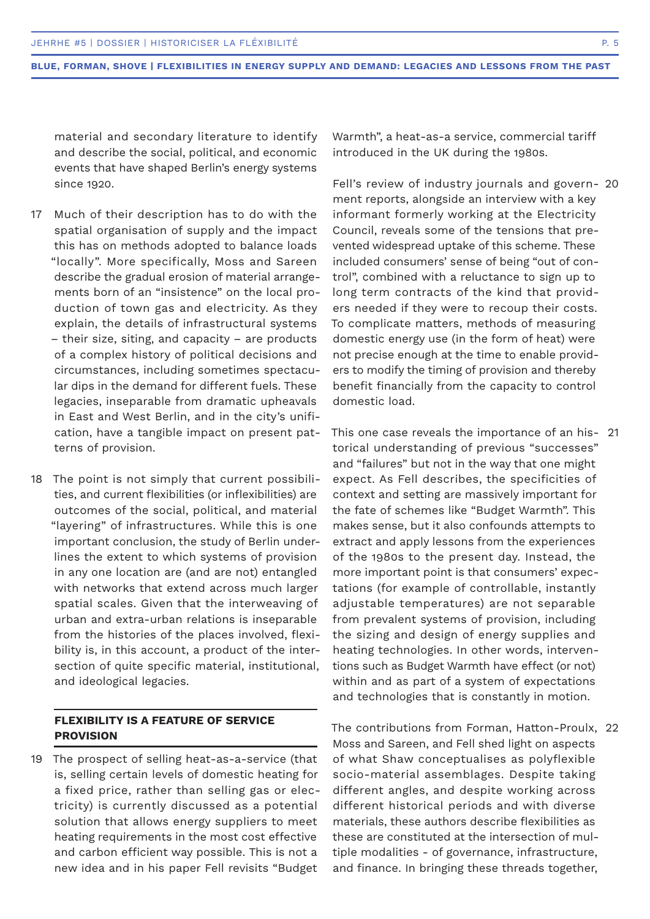material and secondary literature to identify and describe the social, political, and economic events that have shaped Berlin's energy systems since 1920.

- Much of their description has to do with the 17 spatial organisation of supply and the impact this has on methods adopted to balance loads "locally". More specifically, Moss and Sareen describe the gradual erosion of material arrangements born of an "insistence" on the local production of town gas and electricity. As they explain, the details of infrastructural systems – their size, siting, and capacity – are products of a complex history of political decisions and circumstances, including sometimes spectacular dips in the demand for different fuels. These legacies, inseparable from dramatic upheavals in East and West Berlin, and in the city's unification, have a tangible impact on present patterns of provision.
- 18 The point is not simply that current possibilities, and current flexibilities (or inflexibilities) are outcomes of the social, political, and material "layering" of infrastructures. While this is one important conclusion, the study of Berlin underlines the extent to which systems of provision in any one location are (and are not) entangled with networks that extend across much larger spatial scales. Given that the interweaving of urban and extra-urban relations is inseparable from the histories of the places involved, flexibility is, in this account, a product of the intersection of quite specific material, institutional, and ideological legacies.

# **FLEXIBILITY IS A FEATURE OF SERVICE PROVISION**

19 The prospect of selling heat-as-a-service (that is, selling certain levels of domestic heating for a fixed price, rather than selling gas or electricity) is currently discussed as a potential solution that allows energy suppliers to meet heating requirements in the most cost effective and carbon efficient way possible. This is not a new idea and in his paper Fell revisits "Budget

Warmth", a heat-as-a service, commercial tariff introduced in the UK during the 1980s.

Fell's review of industry journals and govern-20 ment reports, alongside an interview with a key informant formerly working at the Electricity Council, reveals some of the tensions that prevented widespread uptake of this scheme. These included consumers' sense of being "out of control", combined with a reluctance to sign up to long term contracts of the kind that providers needed if they were to recoup their costs. To complicate matters, methods of measuring domestic energy use (in the form of heat) were not precise enough at the time to enable providers to modify the timing of provision and thereby benefit financially from the capacity to control domestic load.

This one case reveals the importance of an his-21 torical understanding of previous "successes" and "failures" but not in the way that one might expect. As Fell describes, the specificities of context and setting are massively important for the fate of schemes like "Budget Warmth". This makes sense, but it also confounds attempts to extract and apply lessons from the experiences of the 1980s to the present day. Instead, the more important point is that consumers' expectations (for example of controllable, instantly adjustable temperatures) are not separable from prevalent systems of provision, including the sizing and design of energy supplies and heating technologies. In other words, interventions such as Budget Warmth have effect (or not) within and as part of a system of expectations and technologies that is constantly in motion.

The contributions from Forman, Hatton-Proulx, 22Moss and Sareen, and Fell shed light on aspects of what Shaw conceptualises as polyflexible socio-material assemblages. Despite taking different angles, and despite working across different historical periods and with diverse materials, these authors describe flexibilities as these are constituted at the intersection of multiple modalities - of governance, infrastructure, and finance. In bringing these threads together,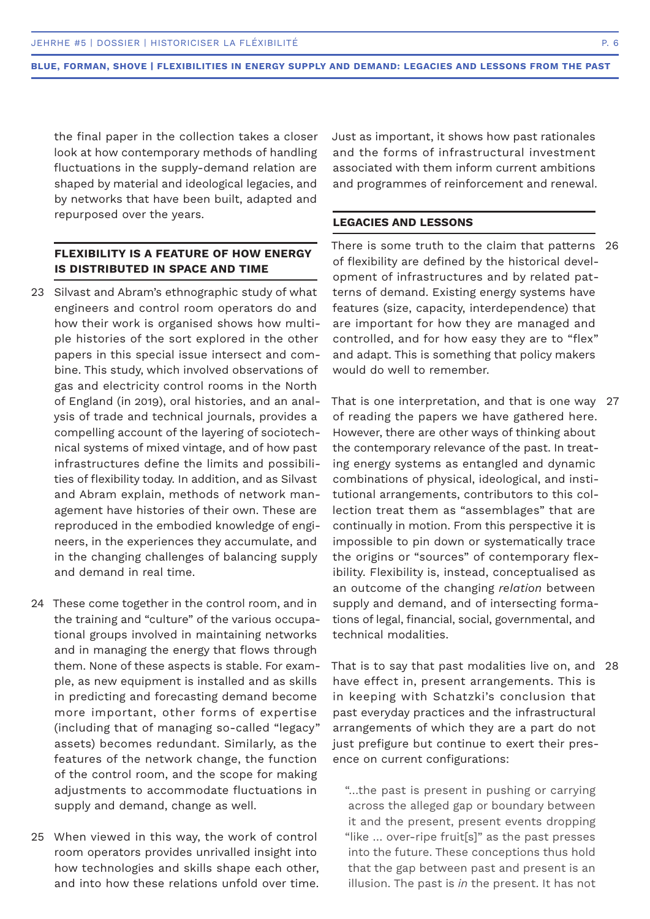the final paper in the collection takes a closer look at how contemporary methods of handling fluctuations in the supply-demand relation are shaped by material and ideological legacies, and by networks that have been built, adapted and repurposed over the years.

# **FLEXIBILITY IS A FEATURE OF HOW ENERGY IS DISTRIBUTED IN SPACE AND TIME**

- 23 Silvast and Abram's ethnographic study of what engineers and control room operators do and how their work is organised shows how multiple histories of the sort explored in the other papers in this special issue intersect and combine. This study, which involved observations of gas and electricity control rooms in the North of England (in 2019), oral histories, and an analysis of trade and technical journals, provides a compelling account of the layering of sociotechnical systems of mixed vintage, and of how past infrastructures define the limits and possibilities of flexibility today. In addition, and as Silvast and Abram explain, methods of network management have histories of their own. These are reproduced in the embodied knowledge of engineers, in the experiences they accumulate, and in the changing challenges of balancing supply and demand in real time.
- 24 These come together in the control room, and in the training and "culture" of the various occupational groups involved in maintaining networks and in managing the energy that flows through them. None of these aspects is stable. For example, as new equipment is installed and as skills in predicting and forecasting demand become more important, other forms of expertise (including that of managing so-called "legacy" assets) becomes redundant. Similarly, as the features of the network change, the function of the control room, and the scope for making adjustments to accommodate fluctuations in supply and demand, change as well.
- When viewed in this way, the work of control 25 room operators provides unrivalled insight into how technologies and skills shape each other, and into how these relations unfold over time.

Just as important, it shows how past rationales and the forms of infrastructural investment associated with them inform current ambitions and programmes of reinforcement and renewal.

#### **LEGACIES AND LESSONS**

There is some truth to the claim that patterns 26 of flexibility are defined by the historical development of infrastructures and by related patterns of demand. Existing energy systems have features (size, capacity, interdependence) that are important for how they are managed and controlled, and for how easy they are to "flex" and adapt. This is something that policy makers would do well to remember.

That is one interpretation, and that is one way 27 of reading the papers we have gathered here. However, there are other ways of thinking about the contemporary relevance of the past. In treating energy systems as entangled and dynamic combinations of physical, ideological, and institutional arrangements, contributors to this collection treat them as "assemblages" that are continually in motion. From this perspective it is impossible to pin down or systematically trace the origins or "sources" of contemporary flexibility. Flexibility is, instead, conceptualised as an outcome of the changing *relation* between supply and demand, and of intersecting formations of legal, financial, social, governmental, and technical modalities.

That is to say that past modalities live on, and 28have effect in, present arrangements. This is in keeping with Schatzki's conclusion that past everyday practices and the infrastructural arrangements of which they are a part do not just prefigure but continue to exert their presence on current configurations:

"…the past is present in pushing or carrying across the alleged gap or boundary between it and the present, present events dropping "like … over-ripe fruit[s]" as the past presses into the future. These conceptions thus hold that the gap between past and present is an illusion. The past is *in* the present. It has not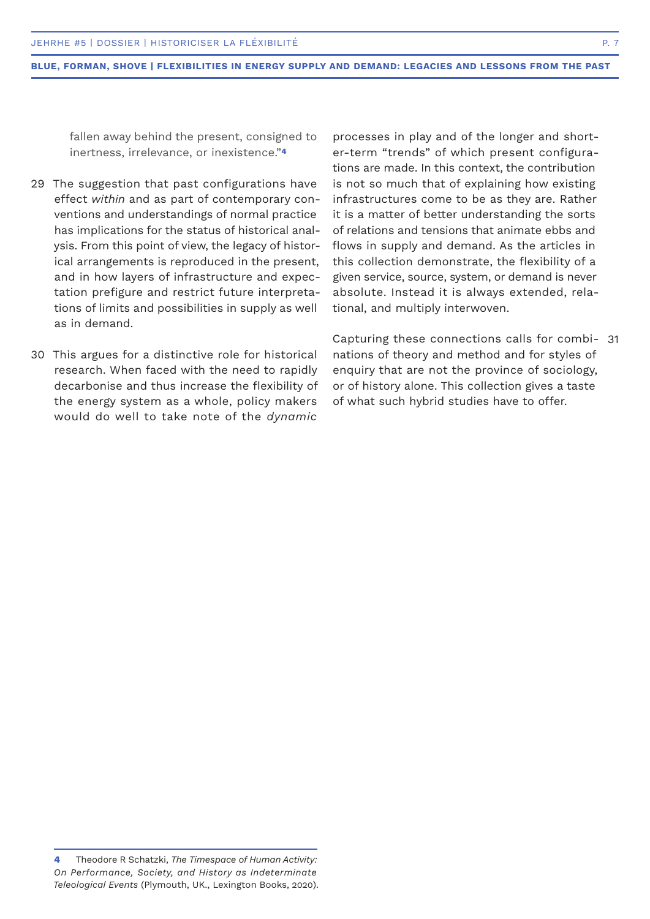fallen away behind the present, consigned to inertness, irrelevance, or inexistence."**<sup>4</sup>**

- 29 The suggestion that past configurations have effect *within* and as part of contemporary conventions and understandings of normal practice has implications for the status of historical analysis. From this point of view, the legacy of historical arrangements is reproduced in the present, and in how layers of infrastructure and expectation prefigure and restrict future interpretations of limits and possibilities in supply as well as in demand.
- 30 This argues for a distinctive role for historical research. When faced with the need to rapidly decarbonise and thus increase the flexibility of the energy system as a whole, policy makers would do well to take note of the *dynamic*

processes in play and of the longer and shorter-term "trends" of which present configurations are made. In this context, the contribution is not so much that of explaining how existing infrastructures come to be as they are. Rather it is a matter of better understanding the sorts of relations and tensions that animate ebbs and flows in supply and demand. As the articles in this collection demonstrate, the flexibility of a given service, source, system, or demand is never absolute. Instead it is always extended, relational, and multiply interwoven.

Capturing these connections calls for combi-31nations of theory and method and for styles of enquiry that are not the province of sociology, or of history alone. This collection gives a taste of what such hybrid studies have to offer.

**<sup>4</sup>** Theodore R Schatzki, *The Timespace of Human Activity: On Performance, Society, and History as Indeterminate Teleological Events* (Plymouth, UK., Lexington Books, 2020).